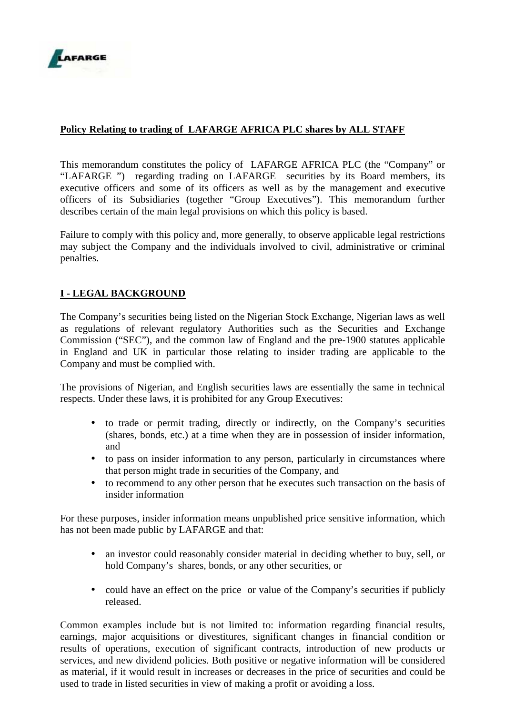

## **Policy Relating to trading of LAFARGE AFRICA PLC shares by ALL STAFF**

This memorandum constitutes the policy of LAFARGE AFRICA PLC (the "Company" or "LAFARGE ") regarding trading on LAFARGE securities by its Board members, its executive officers and some of its officers as well as by the management and executive officers of its Subsidiaries (together "Group Executives"). This memorandum further describes certain of the main legal provisions on which this policy is based.

Failure to comply with this policy and, more generally, to observe applicable legal restrictions may subject the Company and the individuals involved to civil, administrative or criminal penalties.

# **I - LEGAL BACKGROUND**

The Company's securities being listed on the Nigerian Stock Exchange, Nigerian laws as well as regulations of relevant regulatory Authorities such as the Securities and Exchange Commission ("SEC"), and the common law of England and the pre-1900 statutes applicable in England and UK in particular those relating to insider trading are applicable to the Company and must be complied with.

The provisions of Nigerian, and English securities laws are essentially the same in technical respects. Under these laws, it is prohibited for any Group Executives:

- to trade or permit trading, directly or indirectly, on the Company's securities (shares, bonds, etc.) at a time when they are in possession of insider information, and
- to pass on insider information to any person, particularly in circumstances where that person might trade in securities of the Company, and
- to recommend to any other person that he executes such transaction on the basis of insider information

For these purposes, insider information means unpublished price sensitive information, which has not been made public by LAFARGE and that:

- an investor could reasonably consider material in deciding whether to buy, sell, or hold Company's shares, bonds, or any other securities, or
- could have an effect on the price or value of the Company's securities if publicly released.

Common examples include but is not limited to: information regarding financial results, earnings, major acquisitions or divestitures, significant changes in financial condition or results of operations, execution of significant contracts, introduction of new products or services, and new dividend policies. Both positive or negative information will be considered as material, if it would result in increases or decreases in the price of securities and could be used to trade in listed securities in view of making a profit or avoiding a loss.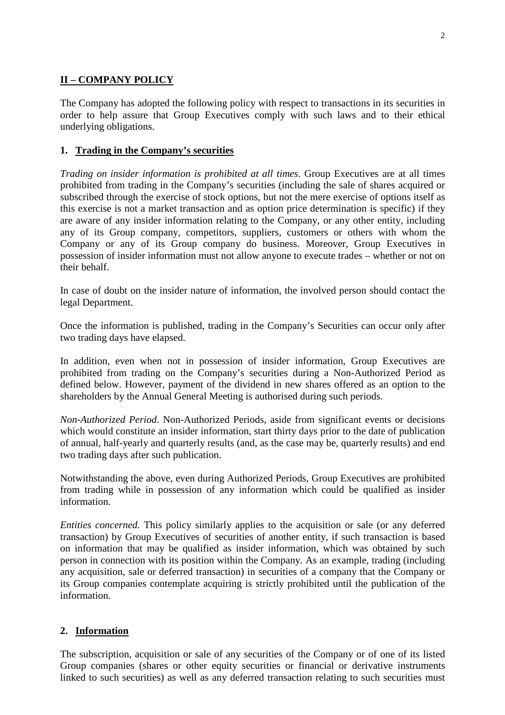## **II – COMPANY POLICY**

The Company has adopted the following policy with respect to transactions in its securities in order to help assure that Group Executives comply with such laws and to their ethical underlying obligations.

#### **1. Trading in the Company's securities**

*Trading on insider information is prohibited at all times*. Group Executives are at all times prohibited from trading in the Company's securities (including the sale of shares acquired or subscribed through the exercise of stock options, but not the mere exercise of options itself as this exercise is not a market transaction and as option price determination is specific) if they are aware of any insider information relating to the Company, or any other entity, including any of its Group company, competitors, suppliers, customers or others with whom the Company or any of its Group company do business. Moreover, Group Executives in possession of insider information must not allow anyone to execute trades – whether or not on their behalf.

In case of doubt on the insider nature of information, the involved person should contact the legal Department.

Once the information is published, trading in the Company's Securities can occur only after two trading days have elapsed.

In addition, even when not in possession of insider information, Group Executives are prohibited from trading on the Company's securities during a Non-Authorized Period as defined below. However, payment of the dividend in new shares offered as an option to the shareholders by the Annual General Meeting is authorised during such periods.

*Non-Authorized Period*. Non-Authorized Periods, aside from significant events or decisions which would constitute an insider information, start thirty days prior to the date of publication of annual, half-yearly and quarterly results (and, as the case may be, quarterly results) and end two trading days after such publication.

Notwithstanding the above, even during Authorized Periods, Group Executives are prohibited from trading while in possession of any information which could be qualified as insider information.

*Entities concerned.* This policy similarly applies to the acquisition or sale (or any deferred transaction) by Group Executives of securities of another entity, if such transaction is based on information that may be qualified as insider information, which was obtained by such person in connection with its position within the Company. As an example, trading (including any acquisition, sale or deferred transaction) in securities of a company that the Company or its Group companies contemplate acquiring is strictly prohibited until the publication of the information.

#### **2. Information**

The subscription, acquisition or sale of any securities of the Company or of one of its listed Group companies (shares or other equity securities or financial or derivative instruments linked to such securities) as well as any deferred transaction relating to such securities must